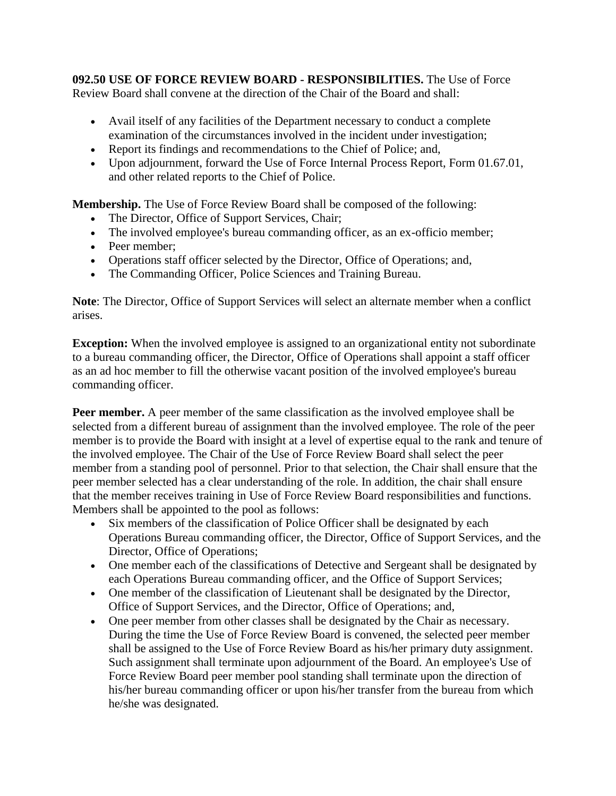**092.50 USE OF FORCE REVIEW BOARD - RESPONSIBILITIES.** The Use of Force Review Board shall convene at the direction of the Chair of the Board and shall:

- Avail itself of any facilities of the Department necessary to conduct a complete examination of the circumstances involved in the incident under investigation;
- Report its findings and recommendations to the Chief of Police; and,
- Upon adjournment, forward the Use of Force Internal Process Report, Form 01.67.01, and other related reports to the Chief of Police.

**Membership.** The Use of Force Review Board shall be composed of the following:

- The Director, Office of Support Services, Chair;
- The involved employee's bureau commanding officer, as an ex-officio member;
- Peer member;
- Operations staff officer selected by the Director, Office of Operations; and,
- The Commanding Officer, Police Sciences and Training Bureau.

**Note**: The Director, Office of Support Services will select an alternate member when a conflict arises.

**Exception:** When the involved employee is assigned to an organizational entity not subordinate to a bureau commanding officer, the Director, Office of Operations shall appoint a staff officer as an ad hoc member to fill the otherwise vacant position of the involved employee's bureau commanding officer.

**Peer member.** A peer member of the same classification as the involved employee shall be selected from a different bureau of assignment than the involved employee. The role of the peer member is to provide the Board with insight at a level of expertise equal to the rank and tenure of the involved employee. The Chair of the Use of Force Review Board shall select the peer member from a standing pool of personnel. Prior to that selection, the Chair shall ensure that the peer member selected has a clear understanding of the role. In addition, the chair shall ensure that the member receives training in Use of Force Review Board responsibilities and functions. Members shall be appointed to the pool as follows:

- Six members of the classification of Police Officer shall be designated by each Operations Bureau commanding officer, the Director, Office of Support Services, and the Director, Office of Operations;
- One member each of the classifications of Detective and Sergeant shall be designated by each Operations Bureau commanding officer, and the Office of Support Services;
- One member of the classification of Lieutenant shall be designated by the Director, Office of Support Services, and the Director, Office of Operations; and,
- One peer member from other classes shall be designated by the Chair as necessary. During the time the Use of Force Review Board is convened, the selected peer member shall be assigned to the Use of Force Review Board as his/her primary duty assignment. Such assignment shall terminate upon adjournment of the Board. An employee's Use of Force Review Board peer member pool standing shall terminate upon the direction of his/her bureau commanding officer or upon his/her transfer from the bureau from which he/she was designated.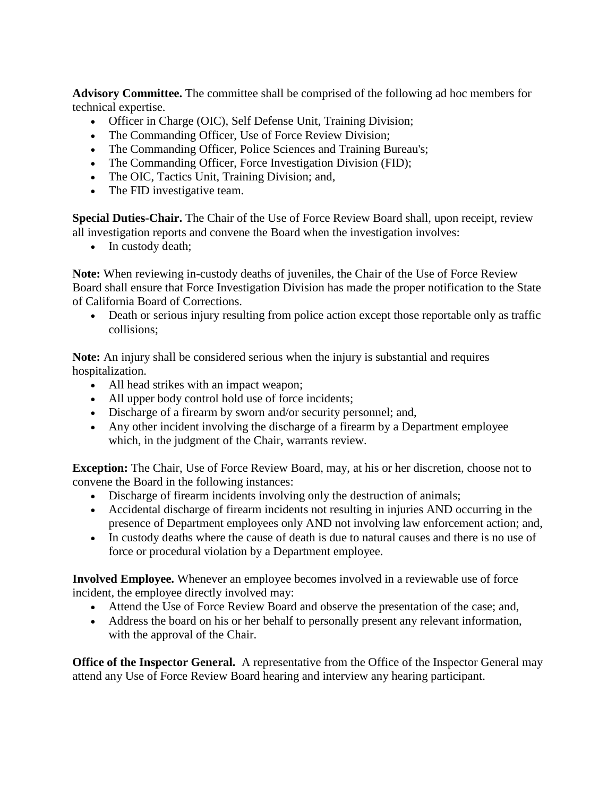**Advisory Committee.** The committee shall be comprised of the following ad hoc members for technical expertise.

- Officer in Charge (OIC), Self Defense Unit, Training Division;
- The Commanding Officer, Use of Force Review Division;
- The Commanding Officer, Police Sciences and Training Bureau's;
- The Commanding Officer, Force Investigation Division (FID);
- The OIC, Tactics Unit, Training Division; and,
- The FID investigative team.

**Special Duties-Chair.** The Chair of the Use of Force Review Board shall, upon receipt, review all investigation reports and convene the Board when the investigation involves:

• In custody death;

**Note:** When reviewing in-custody deaths of juveniles, the Chair of the Use of Force Review Board shall ensure that Force Investigation Division has made the proper notification to the State of California Board of Corrections.

• Death or serious injury resulting from police action except those reportable only as traffic collisions;

**Note:** An injury shall be considered serious when the injury is substantial and requires hospitalization.

- All head strikes with an impact weapon;
- All upper body control hold use of force incidents;
- Discharge of a firearm by sworn and/or security personnel; and,
- Any other incident involving the discharge of a firearm by a Department employee which, in the judgment of the Chair, warrants review.

**Exception:** The Chair, Use of Force Review Board, may, at his or her discretion, choose not to convene the Board in the following instances:

- Discharge of firearm incidents involving only the destruction of animals;
- Accidental discharge of firearm incidents not resulting in injuries AND occurring in the presence of Department employees only AND not involving law enforcement action; and,
- In custody deaths where the cause of death is due to natural causes and there is no use of force or procedural violation by a Department employee.

**Involved Employee.** Whenever an employee becomes involved in a reviewable use of force incident, the employee directly involved may:

- Attend the Use of Force Review Board and observe the presentation of the case; and,
- Address the board on his or her behalf to personally present any relevant information, with the approval of the Chair.

**Office of the Inspector General.** A representative from the Office of the Inspector General may attend any Use of Force Review Board hearing and interview any hearing participant.